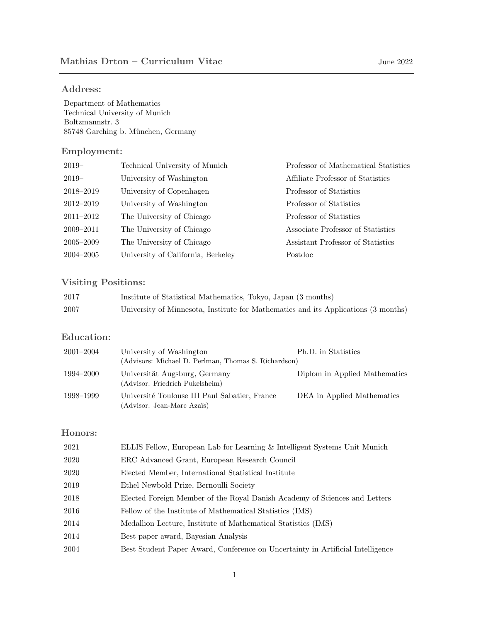### Address:

Department of Mathematics Technical University of Munich Boltzmannstr. 3 85748 Garching b. München, Germany

### Employment:

| $2019-$       | Technical University of Munich     | Professor of Mathematical Statistics |
|---------------|------------------------------------|--------------------------------------|
| $2019-$       | University of Washington           | Affiliate Professor of Statistics    |
| 2018–2019     | University of Copenhagen           | Professor of Statistics              |
| $2012 - 2019$ | University of Washington           | Professor of Statistics              |
| $2011 - 2012$ | The University of Chicago          | Professor of Statistics              |
| $2009 - 2011$ | The University of Chicago          | Associate Professor of Statistics    |
| $2005 - 2009$ | The University of Chicago          | Assistant Professor of Statistics    |
| $2004 - 2005$ | University of California, Berkeley | Postdoc                              |

# Visiting Positions:

| 2017 | Institute of Statistical Mathematics, Tokyo, Japan (3 months)                      |
|------|------------------------------------------------------------------------------------|
| 2007 | University of Minnesota, Institute for Mathematics and its Applications (3 months) |

## Education:

| $2001 - 2004$ | University of Washington                                                    | Ph.D. in Statistics           |
|---------------|-----------------------------------------------------------------------------|-------------------------------|
|               | (Advisors: Michael D. Perlman, Thomas S. Richardson)                        |                               |
| 1994–2000     | Universität Augsburg, Germany<br>(Advisor: Friedrich Pukelsheim)            | Diplom in Applied Mathematics |
| 1998–1999     | Université Toulouse III Paul Sabatier, France<br>(Advisor: Jean-Marc Azaïs) | DEA in Applied Mathematics    |

## Honors:

| 2021 | ELLIS Fellow, European Lab for Learning & Intelligent Systems Unit Munich      |
|------|--------------------------------------------------------------------------------|
| 2020 | ERC Advanced Grant, European Research Council                                  |
| 2020 | Elected Member, International Statistical Institute                            |
| 2019 | Ethel Newbold Prize, Bernoulli Society                                         |
| 2018 | Elected Foreign Member of the Royal Danish Academy of Sciences and Letters     |
| 2016 | Fellow of the Institute of Mathematical Statistics (IMS)                       |
| 2014 | Medallion Lecture, Institute of Mathematical Statistics (IMS)                  |
| 2014 | Best paper award, Bayesian Analysis                                            |
| 2004 | Best Student Paper Award, Conference on Uncertainty in Artificial Intelligence |
|      |                                                                                |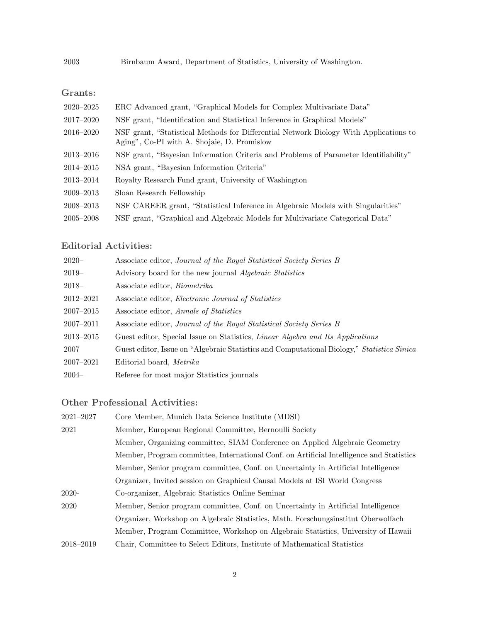2003 Birnbaum Award, Department of Statistics, University of Washington.

## Grants:

| $2020 - 2025$ | ERC Advanced grant, "Graphical Models for Complex Multivariate Data"                                                                 |
|---------------|--------------------------------------------------------------------------------------------------------------------------------------|
| 2017–2020     | NSF grant, "Identification and Statistical Inference in Graphical Models"                                                            |
| $2016 - 2020$ | NSF grant, "Statistical Methods for Differential Network Biology With Applications to<br>Aging", Co-PI with A. Shojaie, D. Promislow |
| $2013 - 2016$ | NSF grant, "Bayesian Information Criteria and Problems of Parameter Identifiability"                                                 |
| $2014 - 2015$ | NSA grant, "Bayesian Information Criteria"                                                                                           |
| 2013-2014     | Royalty Research Fund grant, University of Washington                                                                                |
| $2009 - 2013$ | Sloan Research Fellowship                                                                                                            |
| 2008-2013     | NSF CAREER grant, "Statistical Inference in Algebraic Models with Singularities"                                                     |
| $2005 - 2008$ | NSF grant, "Graphical and Algebraic Models for Multivariate Categorical Data"                                                        |

## Editorial Activities:

| $2020 -$      | Associate editor, Journal of the Royal Statistical Society Series B                        |
|---------------|--------------------------------------------------------------------------------------------|
| $2019-$       | Advisory board for the new journal <i>Algebraic Statistics</i>                             |
| $2018-$       | Associate editor, <i>Biometrika</i>                                                        |
| 2012-2021     | Associate editor, <i>Electronic Journal of Statistics</i>                                  |
| $2007 - 2015$ | Associate editor, Annals of Statistics                                                     |
| $2007 - 2011$ | Associate editor, Journal of the Royal Statistical Society Series B                        |
| 2013-2015     | Guest editor, Special Issue on Statistics, <i>Linear Algebra and Its Applications</i>      |
| 2007          | Guest editor, Issue on "Algebraic Statistics and Computational Biology," Statistica Sinica |
| $2007 - 2021$ | Editorial board, <i>Metrika</i>                                                            |
| $2004-$       | Referee for most major Statistics journals                                                 |

## Other Professional Activities:

| $2021 - 2027$ | Core Member, Munich Data Science Institute (MDSI)                                        |
|---------------|------------------------------------------------------------------------------------------|
| 2021          | Member, European Regional Committee, Bernoulli Society                                   |
|               | Member, Organizing committee, SIAM Conference on Applied Algebraic Geometry              |
|               | Member, Program committee, International Conf. on Artificial Intelligence and Statistics |
|               | Member, Senior program committee, Conf. on Uncertainty in Artificial Intelligence        |
|               | Organizer, Invited session on Graphical Causal Models at ISI World Congress              |
| $2020-$       | Co-organizer, Algebraic Statistics Online Seminar                                        |
| 2020          | Member, Senior program committee, Conf. on Uncertainty in Artificial Intelligence        |
|               | Organizer, Workshop on Algebraic Statistics, Math. Forschungsinstitut Oberwolfach        |
|               | Member, Program Committee, Workshop on Algebraic Statistics, University of Hawaii        |
| $2018 - 2019$ | Chair, Committee to Select Editors, Institute of Mathematical Statistics                 |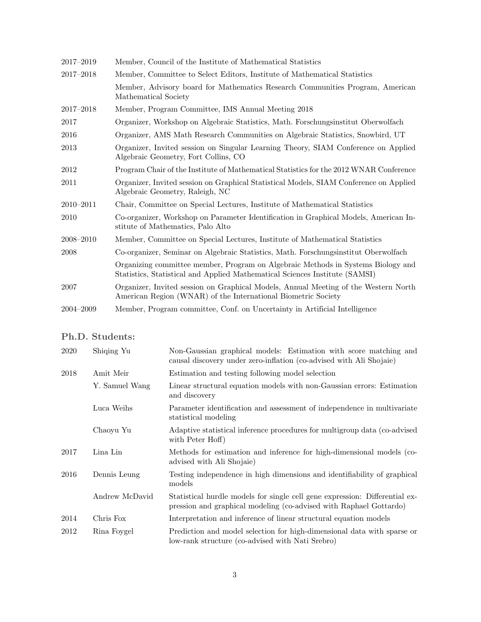| Member, Council of the Institute of Mathematical Statistics                                                                                                     |
|-----------------------------------------------------------------------------------------------------------------------------------------------------------------|
| Member, Committee to Select Editors, Institute of Mathematical Statistics                                                                                       |
| Member, Advisory board for Mathematics Research Communities Program, American<br>Mathematical Society                                                           |
| Member, Program Committee, IMS Annual Meeting 2018                                                                                                              |
| Organizer, Workshop on Algebraic Statistics, Math. Forschungsinstitut Oberwolfach                                                                               |
| Organizer, AMS Math Research Communities on Algebraic Statistics, Snowbird, UT                                                                                  |
| Organizer, Invited session on Singular Learning Theory, SIAM Conference on Applied<br>Algebraic Geometry, Fort Collins, CO                                      |
| Program Chair of the Institute of Mathematical Statistics for the 2012 WNAR Conference                                                                          |
| Organizer, Invited session on Graphical Statistical Models, SIAM Conference on Applied<br>Algebraic Geometry, Raleigh, NC                                       |
| Chair, Committee on Special Lectures, Institute of Mathematical Statistics                                                                                      |
| Co-organizer, Workshop on Parameter Identification in Graphical Models, American In-<br>stitute of Mathematics, Palo Alto                                       |
| Member, Committee on Special Lectures, Institute of Mathematical Statistics                                                                                     |
| Co-organizer, Seminar on Algebraic Statistics, Math. Forschungsinstitut Oberwolfach                                                                             |
| Organizing committee member, Program on Algebraic Methods in Systems Biology and<br>Statistics, Statistical and Applied Mathematical Sciences Institute (SAMSI) |
| Organizer, Invited session on Graphical Models, Annual Meeting of the Western North<br>American Region (WNAR) of the International Biometric Society            |
| Member, Program committee, Conf. on Uncertainty in Artificial Intelligence                                                                                      |
|                                                                                                                                                                 |

## Ph.D. Students:

| 2020 | Shiqing Yu     | Non-Gaussian graphical models: Estimation with score matching and<br>causal discovery under zero-inflation (co-advised with Ali Shojaie)          |
|------|----------------|---------------------------------------------------------------------------------------------------------------------------------------------------|
| 2018 | Amit Meir      | Estimation and testing following model selection                                                                                                  |
|      | Y. Samuel Wang | Linear structural equation models with non-Gaussian errors: Estimation<br>and discovery                                                           |
|      | Luca Weihs     | Parameter identification and assessment of independence in multivariate<br>statistical modeling                                                   |
|      | Chaoyu Yu      | Adaptive statistical inference procedures for multigroup data (co-advised<br>with Peter Hoff)                                                     |
| 2017 | Lina Lin       | Methods for estimation and inference for high-dimensional models (co-<br>advised with Ali Shojaie)                                                |
| 2016 | Dennis Leung   | Testing independence in high dimensions and identifiability of graphical<br>models                                                                |
|      | Andrew McDavid | Statistical hurdle models for single cell gene expression: Differential ex-<br>pression and graphical modeling (co-advised with Raphael Gottardo) |
| 2014 | Chris Fox      | Interpretation and inference of linear structural equation models                                                                                 |
| 2012 | Rina Foygel    | Prediction and model selection for high-dimensional data with sparse or<br>low-rank structure (co-advised with Nati Srebro)                       |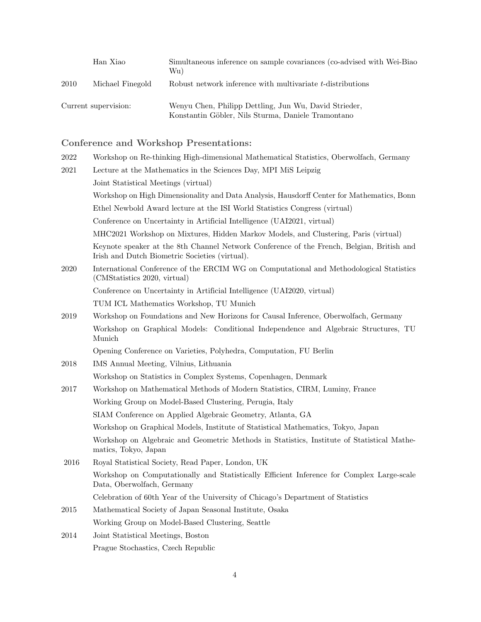|      | Han Xiao             | Simultaneous inference on sample covariances (co-advised with Wei-Biao<br>Wu)                               |
|------|----------------------|-------------------------------------------------------------------------------------------------------------|
| 2010 | Michael Finegold     | Robust network inference with multivariate t-distributions                                                  |
|      | Current supervision: | Wenyu Chen, Philipp Dettling, Jun Wu, David Strieder,<br>Konstantin Göbler, Nils Sturma, Daniele Tramontano |

# Conference and Workshop Presentations:

| 2022 | Workshop on Re-thinking High-dimensional Mathematical Statistics, Oberwolfach, Germany                                                      |
|------|---------------------------------------------------------------------------------------------------------------------------------------------|
| 2021 | Lecture at the Mathematics in the Sciences Day, MPI MiS Leipzig                                                                             |
|      | Joint Statistical Meetings (virtual)                                                                                                        |
|      | Workshop on High Dimensionality and Data Analysis, Hausdorff Center for Mathematics, Bonn                                                   |
|      | Ethel Newbold Award lecture at the ISI World Statistics Congress (virtual)                                                                  |
|      | Conference on Uncertainty in Artificial Intelligence (UAI2021, virtual)                                                                     |
|      | MHC2021 Workshop on Mixtures, Hidden Markov Models, and Clustering, Paris (virtual)                                                         |
|      | Keynote speaker at the 8th Channel Network Conference of the French, Belgian, British and<br>Irish and Dutch Biometric Societies (virtual). |
| 2020 | International Conference of the ERCIM WG on Computational and Methodological Statistics<br>(CMStatistics 2020, virtual)                     |
|      | Conference on Uncertainty in Artificial Intelligence (UAI2020, virtual)                                                                     |
|      | TUM ICL Mathematics Workshop, TU Munich                                                                                                     |
| 2019 | Workshop on Foundations and New Horizons for Causal Inference, Oberwolfach, Germany                                                         |
|      | Workshop on Graphical Models: Conditional Independence and Algebraic Structures, TU<br>Munich                                               |
|      | Opening Conference on Varieties, Polyhedra, Computation, FU Berlin                                                                          |
| 2018 | IMS Annual Meeting, Vilnius, Lithuania                                                                                                      |
|      | Workshop on Statistics in Complex Systems, Copenhagen, Denmark                                                                              |
| 2017 | Workshop on Mathematical Methods of Modern Statistics, CIRM, Luminy, France                                                                 |
|      | Working Group on Model-Based Clustering, Perugia, Italy                                                                                     |
|      | SIAM Conference on Applied Algebraic Geometry, Atlanta, GA                                                                                  |
|      | Workshop on Graphical Models, Institute of Statistical Mathematics, Tokyo, Japan                                                            |
|      | Workshop on Algebraic and Geometric Methods in Statistics, Institute of Statistical Mathe-<br>matics, Tokyo, Japan                          |
| 2016 | Royal Statistical Society, Read Paper, London, UK                                                                                           |
|      | Workshop on Computationally and Statistically Efficient Inference for Complex Large-scale<br>Data, Oberwolfach, Germany                     |
|      | Celebration of 60th Year of the University of Chicago's Department of Statistics                                                            |
| 2015 | Mathematical Society of Japan Seasonal Institute, Osaka                                                                                     |
|      | Working Group on Model-Based Clustering, Seattle                                                                                            |
| 2014 | Joint Statistical Meetings, Boston                                                                                                          |
|      | Prague Stochastics, Czech Republic                                                                                                          |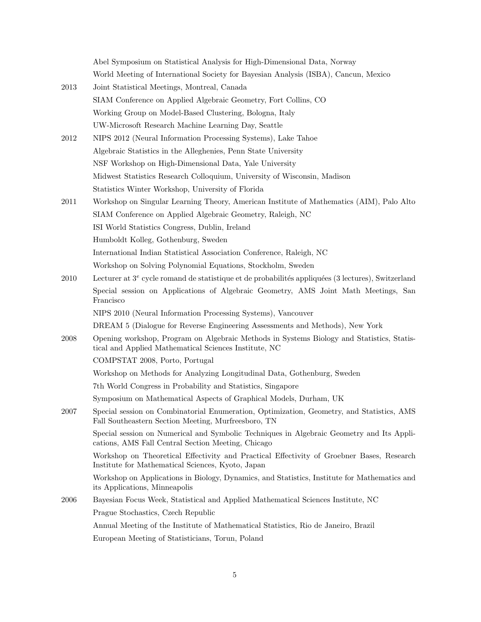|      | Abel Symposium on Statistical Analysis for High-Dimensional Data, Norway                                                                           |
|------|----------------------------------------------------------------------------------------------------------------------------------------------------|
|      | World Meeting of International Society for Bayesian Analysis (ISBA), Cancun, Mexico                                                                |
| 2013 | Joint Statistical Meetings, Montreal, Canada                                                                                                       |
|      | SIAM Conference on Applied Algebraic Geometry, Fort Collins, CO                                                                                    |
|      | Working Group on Model-Based Clustering, Bologna, Italy                                                                                            |
|      | UW-Microsoft Research Machine Learning Day, Seattle                                                                                                |
| 2012 | NIPS 2012 (Neural Information Processing Systems), Lake Tahoe                                                                                      |
|      | Algebraic Statistics in the Alleghenies, Penn State University                                                                                     |
|      | NSF Workshop on High-Dimensional Data, Yale University                                                                                             |
|      | Midwest Statistics Research Colloquium, University of Wisconsin, Madison                                                                           |
|      | Statistics Winter Workshop, University of Florida                                                                                                  |
| 2011 | Workshop on Singular Learning Theory, American Institute of Mathematics (AIM), Palo Alto                                                           |
|      | SIAM Conference on Applied Algebraic Geometry, Raleigh, NC                                                                                         |
|      | ISI World Statistics Congress, Dublin, Ireland                                                                                                     |
|      | Humboldt Kolleg, Gothenburg, Sweden                                                                                                                |
|      | International Indian Statistical Association Conference, Raleigh, NC                                                                               |
|      | Workshop on Solving Polynomial Equations, Stockholm, Sweden                                                                                        |
| 2010 | Lecturer at $3^e$ cycle romand de statistique et de probabilités appliquées (3 lectures), Switzerland                                              |
|      | Special session on Applications of Algebraic Geometry, AMS Joint Math Meetings, San<br>Francisco                                                   |
|      | NIPS 2010 (Neural Information Processing Systems), Vancouver                                                                                       |
|      | DREAM 5 (Dialogue for Reverse Engineering Assessments and Methods), New York                                                                       |
| 2008 | Opening workshop, Program on Algebraic Methods in Systems Biology and Statistics, Statis-<br>tical and Applied Mathematical Sciences Institute, NC |
|      | COMPSTAT 2008, Porto, Portugal                                                                                                                     |
|      | Workshop on Methods for Analyzing Longitudinal Data, Gothenburg, Sweden                                                                            |
|      | 7th World Congress in Probability and Statistics, Singapore                                                                                        |
|      | Symposium on Mathematical Aspects of Graphical Models, Durham, UK                                                                                  |
| 2007 | Special session on Combinatorial Enumeration, Optimization, Geometry, and Statistics, AMS<br>Fall Southeastern Section Meeting, Murfreesboro, TN   |
|      | Special session on Numerical and Symbolic Techniques in Algebraic Geometry and Its Appli-<br>cations, AMS Fall Central Section Meeting, Chicago    |
| 2006 | Workshop on Theoretical Effectivity and Practical Effectivity of Groebner Bases, Research<br>Institute for Mathematical Sciences, Kyoto, Japan     |
|      | Workshop on Applications in Biology, Dynamics, and Statistics, Institute for Mathematics and<br>its Applications, Minneapolis                      |
|      | Bayesian Focus Week, Statistical and Applied Mathematical Sciences Institute, NC                                                                   |
|      | Prague Stochastics, Czech Republic                                                                                                                 |
|      | Annual Meeting of the Institute of Mathematical Statistics, Rio de Janeiro, Brazil                                                                 |
|      | European Meeting of Statisticians, Torun, Poland                                                                                                   |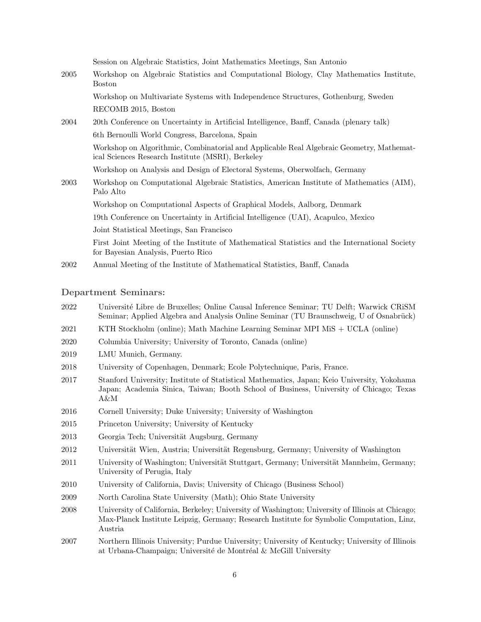Session on Algebraic Statistics, Joint Mathematics Meetings, San Antonio

- 2005 Workshop on Algebraic Statistics and Computational Biology, Clay Mathematics Institute, Boston Workshop on Multivariate Systems with Independence Structures, Gothenburg, Sweden RECOMB 2015, Boston
- 2004 20th Conference on Uncertainty in Artificial Intelligence, Banff, Canada (plenary talk) 6th Bernoulli World Congress, Barcelona, Spain Workshop on Algorithmic, Combinatorial and Applicable Real Algebraic Geometry, Mathematical Sciences Research Institute (MSRI), Berkeley Workshop on Analysis and Design of Electoral Systems, Oberwolfach, Germany 2003 Workshop on Computational Algebraic Statistics, American Institute of Mathematics (AIM), Palo Alto Workshop on Computational Aspects of Graphical Models, Aalborg, Denmark 19th Conference on Uncertainty in Artificial Intelligence (UAI), Acapulco, Mexico Joint Statistical Meetings, San Francisco First Joint Meeting of the Institute of Mathematical Statistics and the International Society for Bayesian Analysis, Puerto Rico
- 2002 Annual Meeting of the Institute of Mathematical Statistics, Banff, Canada

### Department Seminars:

- 2022 Universit´e Libre de Bruxelles; Online Causal Inference Seminar; TU Delft; Warwick CRiSM Seminar; Applied Algebra and Analysis Online Seminar (TU Braunschweig, U of Osnabrück)
- 2021 KTH Stockholm (online); Math Machine Learning Seminar MPI MiS + UCLA (online)
- 2020 Columbia University; University of Toronto, Canada (online)
- 2019 LMU Munich, Germany.
- 2018 University of Copenhagen, Denmark; Ecole Polytechnique, Paris, France.
- 2017 Stanford University; Institute of Statistical Mathematics, Japan; Keio University, Yokohama Japan; Academia Sinica, Taiwan; Booth School of Business, University of Chicago; Texas A&M
- 2016 Cornell University; Duke University; University of Washington
- 2015 Princeton University; University of Kentucky
- 2013 Georgia Tech; Universität Augsburg, Germany
- 2012 Universität Wien, Austria; Universität Regensburg, Germany; University of Washington
- 2011 University of Washington; Universität Stuttgart, Germany; Universität Mannheim, Germany; University of Perugia, Italy
- 2010 University of California, Davis; University of Chicago (Business School)
- 2009 North Carolina State University (Math); Ohio State University
- 2008 University of California, Berkeley; University of Washington; University of Illinois at Chicago; Max-Planck Institute Leipzig, Germany; Research Institute for Symbolic Computation, Linz, Austria
- 2007 Northern Illinois University; Purdue University; University of Kentucky; University of Illinois at Urbana-Champaign; Université de Montréal  $\&$  McGill University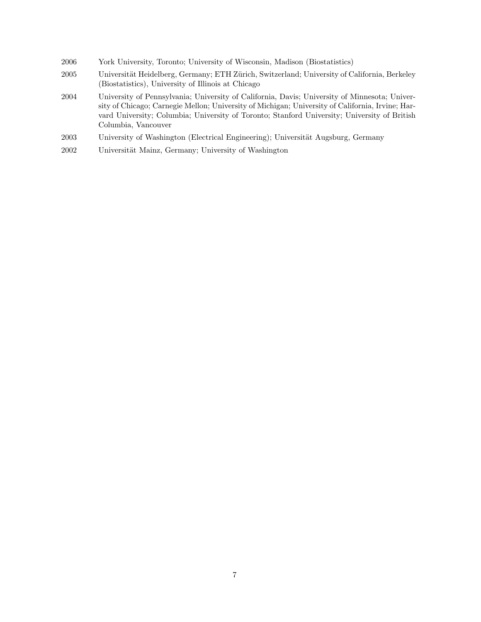- 2006 York University, Toronto; University of Wisconsin, Madison (Biostatistics)
- 2005 Universität Heidelberg, Germany; ETH Zürich, Switzerland; University of California, Berkeley (Biostatistics), University of Illinois at Chicago
- 2004 University of Pennsylvania; University of California, Davis; University of Minnesota; University of Chicago; Carnegie Mellon; University of Michigan; University of California, Irvine; Harvard University; Columbia; University of Toronto; Stanford University; University of British Columbia, Vancouver
- 2003 University of Washington (Electrical Engineering); Universität Augsburg, Germany
- 2002 Universität Mainz, Germany; University of Washington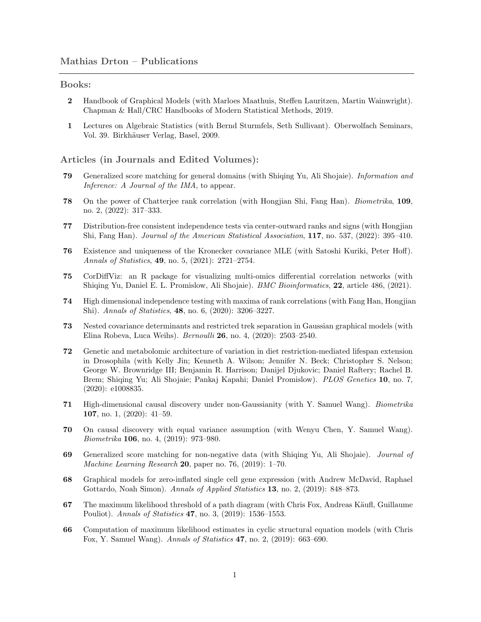#### Books:

- 2 Handbook of Graphical Models (with Marloes Maathuis, Steffen Lauritzen, Martin Wainwright). Chapman & Hall/CRC Handbooks of Modern Statistical Methods, 2019.
- 1 Lectures on Algebraic Statistics (with Bernd Sturmfels, Seth Sullivant). Oberwolfach Seminars, Vol. 39. Birkhäuser Verlag, Basel, 2009.

#### Articles (in Journals and Edited Volumes):

- 79 Generalized score matching for general domains (with Shiqing Yu, Ali Shojaie). Information and Inference: A Journal of the IMA, to appear.
- 78 On the power of Chatterjee rank correlation (with Hongjian Shi, Fang Han). Biometrika, 109, no. 2, (2022): 317–333.
- 77 Distribution-free consistent independence tests via center-outward ranks and signs (with Hongjian Shi, Fang Han). Journal of the American Statistical Association, 117, no. 537, (2022): 395–410.
- 76 Existence and uniqueness of the Kronecker covariance MLE (with Satoshi Kuriki, Peter Hoff). Annals of Statistics, 49, no. 5, (2021): 2721–2754.
- 75 CorDiffViz: an R package for visualizing multi-omics differential correlation networks (with Shiqing Yu, Daniel E. L. Promislow, Ali Shojaie). BMC Bioinformatics, 22, article 486, (2021).
- 74 High dimensional independence testing with maxima of rank correlations (with Fang Han, Hongjian Shi). Annals of Statistics, 48, no. 6, (2020): 3206–3227.
- 73 Nested covariance determinants and restricted trek separation in Gaussian graphical models (with Elina Robeva, Luca Weihs). Bernoulli 26, no. 4, (2020): 2503–2540.
- 72 Genetic and metabolomic architecture of variation in diet restriction-mediated lifespan extension in Drosophila (with Kelly Jin; Kenneth A. Wilson; Jennifer N. Beck; Christopher S. Nelson; George W. Brownridge III; Benjamin R. Harrison; Danijel Djukovic; Daniel Raftery; Rachel B. Brem; Shiqing Yu; Ali Shojaie; Pankaj Kapahi; Daniel Promislow). PLOS Genetics 10, no. 7, (2020): e1008835.
- 71 High-dimensional causal discovery under non-Gaussianity (with Y. Samuel Wang). Biometrika 107, no. 1, (2020): 41–59.
- 70 On causal discovery with equal variance assumption (with Wenyu Chen, Y. Samuel Wang). Biometrika 106, no. 4, (2019): 973–980.
- 69 Generalized score matching for non-negative data (with Shiqing Yu, Ali Shojaie). Journal of Machine Learning Research 20, paper no. 76, (2019): 1–70.
- 68 Graphical models for zero-inflated single cell gene expression (with Andrew McDavid, Raphael Gottardo, Noah Simon). Annals of Applied Statistics 13, no. 2, (2019): 848–873.
- 67 The maximum likelihood threshold of a path diagram (with Chris Fox, Andreas Käufl, Guillaume Pouliot). Annals of Statistics 47, no. 3, (2019): 1536–1553.
- 66 Computation of maximum likelihood estimates in cyclic structural equation models (with Chris Fox, Y. Samuel Wang). Annals of Statistics 47, no. 2, (2019): 663–690.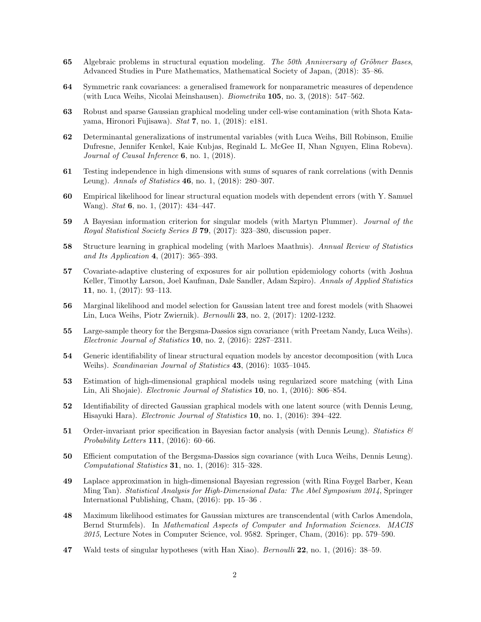- 65 Algebraic problems in structural equation modeling. The 50th Anniversary of Gröbner Bases, Advanced Studies in Pure Mathematics, Mathematical Society of Japan, (2018): 35–86.
- 64 Symmetric rank covariances: a generalised framework for nonparametric measures of dependence (with Luca Weihs, Nicolai Meinshausen). Biometrika 105, no. 3, (2018): 547–562.
- 63 Robust and sparse Gaussian graphical modeling under cell-wise contamination (with Shota Katayama, Hironori Fujisawa). Stat 7, no. 1, (2018): e181.
- 62 Determinantal generalizations of instrumental variables (with Luca Weihs, Bill Robinson, Emilie Dufresne, Jennifer Kenkel, Kaie Kubjas, Reginald L. McGee II, Nhan Nguyen, Elina Robeva). Journal of Causal Inference 6, no. 1, (2018).
- 61 Testing independence in high dimensions with sums of squares of rank correlations (with Dennis Leung). Annals of Statistics 46, no. 1, (2018): 280–307.
- 60 Empirical likelihood for linear structural equation models with dependent errors (with Y. Samuel Wang). *Stat* **6**, no. 1, (2017): 434-447.
- 59 A Bayesian information criterion for singular models (with Martyn Plummer). Journal of the Royal Statistical Society Series B 79, (2017): 323–380, discussion paper.
- 58 Structure learning in graphical modeling (with Marloes Maathuis). Annual Review of Statistics and Its Application 4, (2017): 365–393.
- 57 Covariate-adaptive clustering of exposures for air pollution epidemiology cohorts (with Joshua Keller, Timothy Larson, Joel Kaufman, Dale Sandler, Adam Szpiro). Annals of Applied Statistics 11, no. 1, (2017): 93–113.
- 56 Marginal likelihood and model selection for Gaussian latent tree and forest models (with Shaowei Lin, Luca Weihs, Piotr Zwiernik). Bernoulli 23, no. 2, (2017): 1202-1232.
- 55 Large-sample theory for the Bergsma-Dassios sign covariance (with Preetam Nandy, Luca Weihs). Electronic Journal of Statistics 10, no. 2, (2016): 2287–2311.
- 54 Generic identifiability of linear structural equation models by ancestor decomposition (with Luca Weihs). Scandinavian Journal of Statistics 43, (2016): 1035–1045.
- 53 Estimation of high-dimensional graphical models using regularized score matching (with Lina Lin, Ali Shojaie). Electronic Journal of Statistics 10, no. 1, (2016): 806–854.
- 52 Identifiability of directed Gaussian graphical models with one latent source (with Dennis Leung, Hisayuki Hara). Electronic Journal of Statistics 10, no. 1, (2016): 394–422.
- 51 Order-invariant prior specification in Bayesian factor analysis (with Dennis Leung). Statistics  $\mathcal{B}$ Probability Letters 111, (2016): 60–66.
- 50 Efficient computation of the Bergsma-Dassios sign covariance (with Luca Weihs, Dennis Leung). Computational Statistics 31, no. 1, (2016): 315–328.
- 49 Laplace approximation in high-dimensional Bayesian regression (with Rina Foygel Barber, Kean Ming Tan). Statistical Analysis for High-Dimensional Data: The Abel Symposium 2014, Springer International Publishing, Cham, (2016): pp. 15–36 .
- 48 Maximum likelihood estimates for Gaussian mixtures are transcendental (with Carlos Amendola, Bernd Sturmfels). In Mathematical Aspects of Computer and Information Sciences. MACIS 2015, Lecture Notes in Computer Science, vol. 9582. Springer, Cham, (2016): pp. 579–590.
- 47 Wald tests of singular hypotheses (with Han Xiao). Bernoulli 22, no. 1, (2016): 38–59.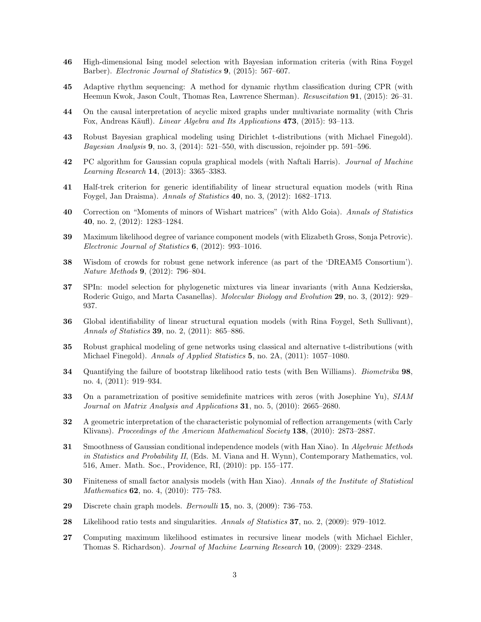- 46 High-dimensional Ising model selection with Bayesian information criteria (with Rina Foygel Barber). Electronic Journal of Statistics 9, (2015): 567–607.
- 45 Adaptive rhythm sequencing: A method for dynamic rhythm classification during CPR (with Heemun Kwok, Jason Coult, Thomas Rea, Lawrence Sherman). Resuscitation 91, (2015): 26–31.
- 44 On the causal interpretation of acyclic mixed graphs under multivariate normality (with Chris Fox, Andreas Käufl). Linear Algebra and Its Applications 473, (2015): 93-113.
- 43 Robust Bayesian graphical modeling using Dirichlet t-distributions (with Michael Finegold). Bayesian Analysis 9, no. 3, (2014): 521–550, with discussion, rejoinder pp. 591–596.
- 42 PC algorithm for Gaussian copula graphical models (with Naftali Harris). Journal of Machine Learning Research 14, (2013): 3365–3383.
- 41 Half-trek criterion for generic identifiability of linear structural equation models (with Rina Foygel, Jan Draisma). Annals of Statistics 40, no. 3, (2012): 1682–1713.
- 40 Correction on "Moments of minors of Wishart matrices" (with Aldo Goia). Annals of Statistics 40, no. 2, (2012): 1283–1284.
- 39 Maximum likelihood degree of variance component models (with Elizabeth Gross, Sonja Petrovic). Electronic Journal of Statistics 6, (2012): 993–1016.
- 38 Wisdom of crowds for robust gene network inference (as part of the 'DREAM5 Consortium'). Nature Methods 9, (2012): 796–804.
- 37 SPIn: model selection for phylogenetic mixtures via linear invariants (with Anna Kedzierska, Roderic Guigo, and Marta Casanellas). *Molecular Biology and Evolution* 29, no. 3, (2012): 929– 937.
- 36 Global identifiability of linear structural equation models (with Rina Foygel, Seth Sullivant), Annals of Statistics 39, no. 2, (2011): 865–886.
- 35 Robust graphical modeling of gene networks using classical and alternative t-distributions (with Michael Finegold). Annals of Applied Statistics 5, no. 2A, (2011): 1057–1080.
- 34 Quantifying the failure of bootstrap likelihood ratio tests (with Ben Williams). Biometrika 98, no. 4, (2011): 919–934.
- 33 On a parametrization of positive semidefinite matrices with zeros (with Josephine Yu), SIAM Journal on Matrix Analysis and Applications 31, no. 5, (2010): 2665–2680.
- 32 A geometric interpretation of the characteristic polynomial of reflection arrangements (with Carly Klivans). Proceedings of the American Mathematical Society 138, (2010): 2873–2887.
- 31 Smoothness of Gaussian conditional independence models (with Han Xiao). In Algebraic Methods in Statistics and Probability II, (Eds. M. Viana and H. Wynn), Contemporary Mathematics, vol. 516, Amer. Math. Soc., Providence, RI, (2010): pp. 155–177.
- 30 Finiteness of small factor analysis models (with Han Xiao). Annals of the Institute of Statistical Mathematics **62**, no. 4, (2010): 775–783.
- 29 Discrete chain graph models. Bernoulli 15, no. 3, (2009): 736–753.
- 28 Likelihood ratio tests and singularities. Annals of Statistics 37, no. 2, (2009): 979–1012.
- 27 Computing maximum likelihood estimates in recursive linear models (with Michael Eichler, Thomas S. Richardson). Journal of Machine Learning Research 10, (2009): 2329–2348.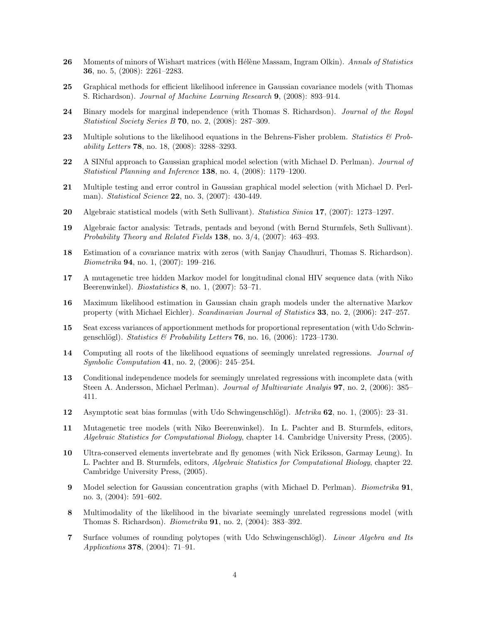- 26 Moments of minors of Wishart matrices (with Hélène Massam, Ingram Olkin). Annals of Statistics 36, no. 5, (2008): 2261–2283.
- 25 Graphical methods for efficient likelihood inference in Gaussian covariance models (with Thomas S. Richardson). Journal of Machine Learning Research 9, (2008): 893–914.
- 24 Binary models for marginal independence (with Thomas S. Richardson). *Journal of the Royal* Statistical Society Series B 70, no. 2, (2008): 287–309.
- 23 Multiple solutions to the likelihood equations in the Behrens-Fisher problem. Statistics  $\mathcal{B}$  Probability Letters 78, no. 18, (2008): 3288–3293.
- 22 A SINful approach to Gaussian graphical model selection (with Michael D. Perlman). Journal of Statistical Planning and Inference 138, no. 4, (2008): 1179–1200.
- 21 Multiple testing and error control in Gaussian graphical model selection (with Michael D. Perlman). Statistical Science 22, no. 3, (2007): 430-449.
- 20 Algebraic statistical models (with Seth Sullivant). Statistica Sinica 17, (2007): 1273-1297.
- 19 Algebraic factor analysis: Tetrads, pentads and beyond (with Bernd Sturmfels, Seth Sullivant). Probability Theory and Related Fields 138, no. 3/4, (2007): 463–493.
- 18 Estimation of a covariance matrix with zeros (with Sanjay Chaudhuri, Thomas S. Richardson). Biometrika 94, no. 1, (2007): 199–216.
- 17 A mutagenetic tree hidden Markov model for longitudinal clonal HIV sequence data (with Niko Beerenwinkel). Biostatistics 8, no. 1, (2007): 53–71.
- 16 Maximum likelihood estimation in Gaussian chain graph models under the alternative Markov property (with Michael Eichler). Scandinavian Journal of Statistics 33, no. 2, (2006): 247–257.
- 15 Seat excess variances of apportionment methods for proportional representation (with Udo Schwingenschlögl). Statistics & Probability Letters 76, no. 16,  $(2006)$ : 1723–1730.
- 14 Computing all roots of the likelihood equations of seemingly unrelated regressions. *Journal of* Symbolic Computation 41, no. 2, (2006): 245–254.
- 13 Conditional independence models for seemingly unrelated regressions with incomplete data (with Steen A. Andersson, Michael Perlman). Journal of Multivariate Analyis **97**, no. 2, (2006): 385– 411.
- 12 Asymptotic seat bias formulas (with Udo Schwingenschlögl). Metrika  $62$ , no. 1, (2005): 23–31.
- 11 Mutagenetic tree models (with Niko Beerenwinkel). In L. Pachter and B. Sturmfels, editors, Algebraic Statistics for Computational Biology, chapter 14. Cambridge University Press, (2005).
- 10 Ultra-conserved elements invertebrate and fly genomes (with Nick Eriksson, Garmay Leung). In L. Pachter and B. Sturmfels, editors, Algebraic Statistics for Computational Biology, chapter 22. Cambridge University Press, (2005).
- 9 Model selection for Gaussian concentration graphs (with Michael D. Perlman). Biometrika 91, no. 3, (2004): 591–602.
- 8 Multimodality of the likelihood in the bivariate seemingly unrelated regressions model (with Thomas S. Richardson). Biometrika 91, no. 2, (2004): 383–392.
- 7 Surface volumes of rounding polytopes (with Udo Schwingenschlögl). Linear Algebra and Its Applications 378, (2004): 71–91.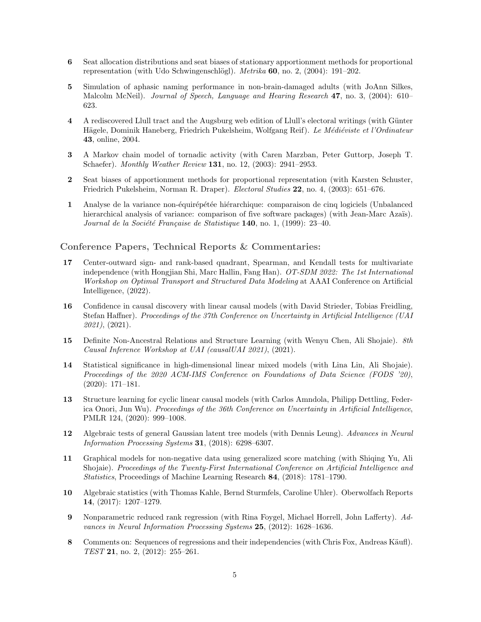- 6 Seat allocation distributions and seat biases of stationary apportionment methods for proportional representation (with Udo Schwingenschlögl). Metrika  $60$ , no. 2, (2004): 191–202.
- 5 Simulation of aphasic naming performance in non-brain-damaged adults (with JoAnn Silkes, Malcolm McNeil). Journal of Speech, Language and Hearing Research 47, no. 3, (2004): 610– 623.
- 4 A rediscovered Llull tract and the Augsburg web edition of Llull's electoral writings (with Günter Hägele, Dominik Haneberg, Friedrich Pukelsheim, Wolfgang Reif). Le Médiéviste et l'Ordinateur 43, online, 2004.
- 3 A Markov chain model of tornadic activity (with Caren Marzban, Peter Guttorp, Joseph T. Schaefer). Monthly Weather Review 131, no. 12, (2003): 2941–2953.
- 2 Seat biases of apportionment methods for proportional representation (with Karsten Schuster, Friedrich Pukelsheim, Norman R. Draper). Electoral Studies 22, no. 4, (2003): 651–676.
- 1 Analyse de la variance non-équirépétée hiérarchique: comparaison de cinq logiciels (Unbalanced hierarchical analysis of variance: comparison of five software packages) (with Jean-Marc Azaïs). Journal de la Société Française de Statistique  $140$ , no. 1, (1999): 23-40.

### Conference Papers, Technical Reports & Commentaries:

- 17 Center-outward sign- and rank-based quadrant, Spearman, and Kendall tests for multivariate independence (with Hongjian Shi, Marc Hallin, Fang Han). OT-SDM 2022: The 1st International Workshop on Optimal Transport and Structured Data Modeling at AAAI Conference on Artificial Intelligence, (2022).
- 16 Confidence in causal discovery with linear causal models (with David Strieder, Tobias Freidling, Stefan Haffner). Proceedings of the 37th Conference on Uncertainty in Artificial Intelligence (UAI 2021), (2021).
- 15 Definite Non-Ancestral Relations and Structure Learning (with Wenyu Chen, Ali Shojaie). 8th Causal Inference Workshop at UAI (causalUAI 2021), (2021).
- 14 Statistical significance in high-dimensional linear mixed models (with Lina Lin, Ali Shojaie). Proceedings of the 2020 ACM-IMS Conference on Foundations of Data Science (FODS '20), (2020): 171–181.
- 13 Structure learning for cyclic linear causal models (with Carlos Amndola, Philipp Dettling, Federica Onori, Jun Wu). Proceedings of the 36th Conference on Uncertainty in Artificial Intelligence, PMLR 124, (2020): 999–1008.
- 12 Algebraic tests of general Gaussian latent tree models (with Dennis Leung). Advances in Neural Information Processing Systems 31, (2018): 6298–6307.
- 11 Graphical models for non-negative data using generalized score matching (with Shiqing Yu, Ali Shojaie). Proceedings of the Twenty-First International Conference on Artificial Intelligence and Statistics, Proceedings of Machine Learning Research 84, (2018): 1781–1790.
- 10 Algebraic statistics (with Thomas Kahle, Bernd Sturmfels, Caroline Uhler). Oberwolfach Reports 14, (2017): 1207–1279.
- 9 Nonparametric reduced rank regression (with Rina Foygel, Michael Horrell, John Lafferty). Advances in Neural Information Processing Systems 25, (2012): 1628–1636.
- 8 Comments on: Sequences of regressions and their independencies (with Chris Fox, Andreas Käufl). TEST 21, no. 2, (2012): 255–261.